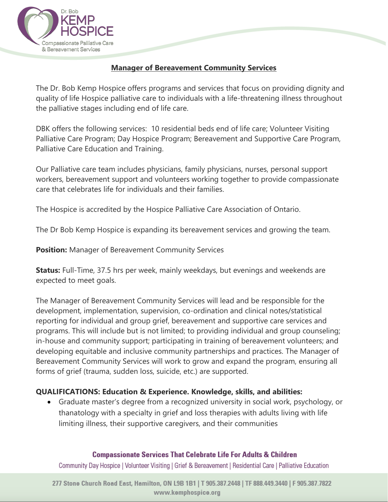

# **Manager of Bereavement Community Services**

The Dr. Bob Kemp Hospice offers programs and services that focus on providing dignity and quality of life Hospice palliative care to individuals with a life-threatening illness throughout the palliative stages including end of life care.

DBK offers the following services: 10 residential beds end of life care; Volunteer Visiting Palliative Care Program; Day Hospice Program; Bereavement and Supportive Care Program, Palliative Care Education and Training.

Our Palliative care team includes physicians, family physicians, nurses, personal support workers, bereavement support and volunteers working together to provide compassionate care that celebrates life for individuals and their families.

The Hospice is accredited by the Hospice Palliative Care Association of Ontario.

The Dr Bob Kemp Hospice is expanding its bereavement services and growing the team.

**Position:** Manager of Bereavement Community Services

**Status:** Full-Time, 37.5 hrs per week, mainly weekdays, but evenings and weekends are expected to meet goals.

The Manager of Bereavement Community Services will lead and be responsible for the development, implementation, supervision, co-ordination and clinical notes/statistical reporting for individual and group grief, bereavement and supportive care services and programs. This will include but is not limited; to providing individual and group counseling; in-house and community support; participating in training of bereavement volunteers; and developing equitable and inclusive community partnerships and practices. The Manager of Bereavement Community Services will work to grow and expand the program, ensuring all forms of grief (trauma, sudden loss, suicide, etc.) are supported.

# **QUALIFICATIONS: Education & Experience. Knowledge, skills, and abilities:**

• Graduate master's degree from a recognized university in social work, psychology, or thanatology with a specialty in grief and loss therapies with adults living with life limiting illness, their supportive caregivers, and their communities

#### **Compassionate Services That Celebrate Life For Adults & Children**

Community Day Hospice | Volunteer Visiting | Grief & Bereavement | Residential Care | Palliative Education

277 Stone Church Road East, Hamilton, ON L9B 1B1 | T 905.387.2448 | TF 888.449.3440 | F 905.387.7822 www.komphospico.org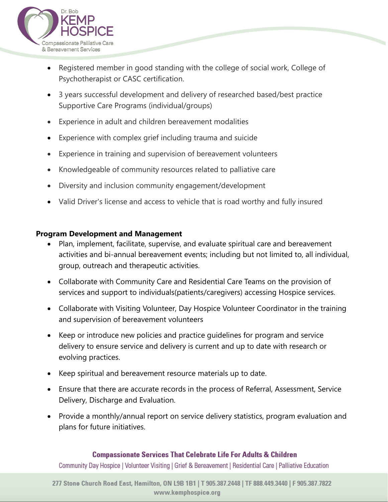

- Registered member in good standing with the college of social work, College of Psychotherapist or CASC certification.
- 3 years successful development and delivery of researched based/best practice Supportive Care Programs (individual/groups)
- Experience in adult and children bereavement modalities
- Experience with complex grief including trauma and suicide
- Experience in training and supervision of bereavement volunteers
- Knowledgeable of community resources related to palliative care
- Diversity and inclusion community engagement/development
- Valid Driver's license and access to vehicle that is road worthy and fully insured

### **Program Development and Management**

- Plan, implement, facilitate, supervise, and evaluate spiritual care and bereavement activities and bi-annual bereavement events; including but not limited to, all individual, group, outreach and therapeutic activities.
- Collaborate with Community Care and Residential Care Teams on the provision of services and support to individuals(patients/caregivers) accessing Hospice services.
- Collaborate with Visiting Volunteer, Day Hospice Volunteer Coordinator in the training and supervision of bereavement volunteers
- Keep or introduce new policies and practice guidelines for program and service delivery to ensure service and delivery is current and up to date with research or evolving practices.
- Keep spiritual and bereavement resource materials up to date.
- Ensure that there are accurate records in the process of Referral, Assessment, Service Delivery, Discharge and Evaluation.
- Provide a monthly/annual report on service delivery statistics, program evaluation and plans for future initiatives.

### **Compassionate Services That Celebrate Life For Adults & Children**

Community Day Hospice | Volunteer Visiting | Grief & Bereavement | Residential Care | Palliative Education